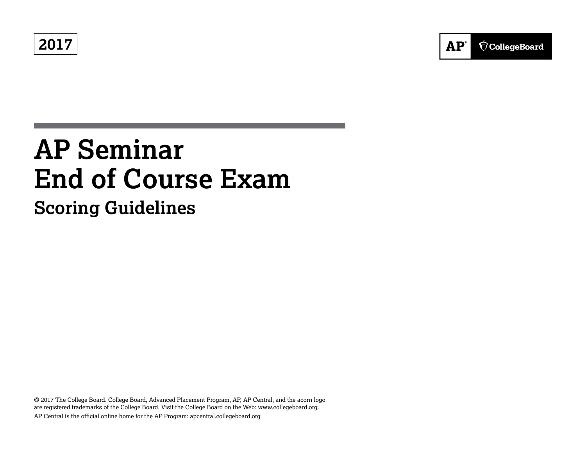**2017**

# **AP Seminar End of Course Exam**

**Scoring Guidelines**

© 2017 The College Board. College Board, Advanced Placement Program, AP, AP Central, and the acorn logo are registered trademarks of the College Board. Visit the College Board on the Web: www.collegeboard.org. AP Central is the official online home for the AP Program: apcentral.collegeboard.org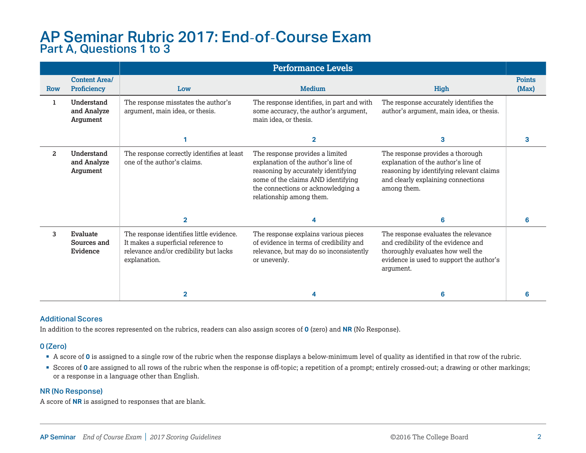### AP Seminar Rubric 2017: End-of-Course Exam Part A, Questions 1 to 3

|                |                                              | <b>Performance Levels</b>                                                                                                                 |                                                                                                                                                                                                                       |                                                                                                                                                                           |                        |  |
|----------------|----------------------------------------------|-------------------------------------------------------------------------------------------------------------------------------------------|-----------------------------------------------------------------------------------------------------------------------------------------------------------------------------------------------------------------------|---------------------------------------------------------------------------------------------------------------------------------------------------------------------------|------------------------|--|
| <b>Row</b>     | <b>Content Area/</b><br>Proficiency          | Low                                                                                                                                       | <b>Medium</b>                                                                                                                                                                                                         | High                                                                                                                                                                      | <b>Points</b><br>(Max) |  |
| 1              | Understand<br>and Analyze<br>Argument        | The response misstates the author's<br>argument, main idea, or thesis.                                                                    | The response identifies, in part and with<br>some accuracy, the author's argument,<br>main idea, or thesis.                                                                                                           | The response accurately identifies the<br>author's argument, main idea, or thesis.                                                                                        |                        |  |
|                |                                              |                                                                                                                                           | $\overline{2}$                                                                                                                                                                                                        | 3                                                                                                                                                                         | з                      |  |
| $\overline{a}$ | <b>Understand</b><br>and Analyze<br>Argument | The response correctly identifies at least<br>one of the author's claims.                                                                 | The response provides a limited<br>explanation of the author's line of<br>reasoning by accurately identifying<br>some of the claims AND identifying<br>the connections or acknowledging a<br>relationship among them. | The response provides a thorough<br>explanation of the author's line of<br>reasoning by identifying relevant claims<br>and clearly explaining connections<br>among them.  |                        |  |
|                |                                              | $\overline{\mathbf{2}}$                                                                                                                   | 4                                                                                                                                                                                                                     | 6                                                                                                                                                                         | 6                      |  |
| 3              | Evaluate<br>Sources and<br>Evidence          | The response identifies little evidence.<br>It makes a superficial reference to<br>relevance and/or credibility but lacks<br>explanation. | The response explains various pieces<br>of evidence in terms of credibility and<br>relevance, but may do so inconsistently<br>or unevenly.                                                                            | The response evaluates the relevance<br>and credibility of the evidence and<br>thoroughly evaluates how well the<br>evidence is used to support the author's<br>argument. |                        |  |
|                |                                              | $\overline{2}$                                                                                                                            |                                                                                                                                                                                                                       | 6                                                                                                                                                                         |                        |  |

### Additional Scores

In addition to the scores represented on the rubrics, readers can also assign scores of **0** (zero) and **NR** (No Response).

### 0 (Zero)

- § A score of **0** is assigned to a single row of the rubric when the response displays a below-minimum level of quality as identified in that row of the rubric.
- § Scores of **0** are assigned to all rows of the rubric when the response is off-topic; a repetition of a prompt; entirely crossed-out; a drawing or other markings; or a response in a language other than English.

### NR (No Response)

A score of **NR** is assigned to responses that are blank.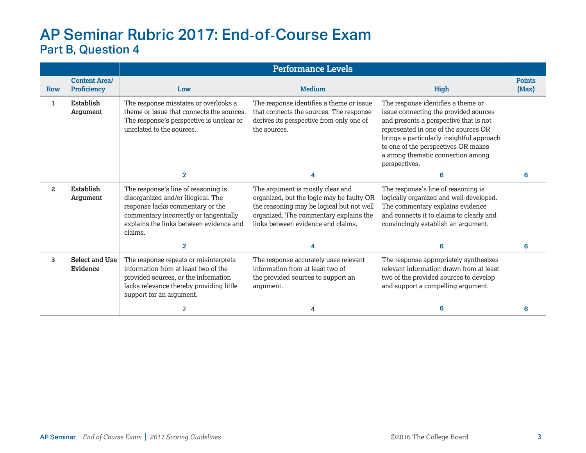## AP Seminar Rubric 2017: End-of-Course Exam Part B, Question 4

|                |                                     | <b>Performance Levels</b>                                                                                                                                                                                     |                                                                                                                                                                                                            |                                                                                                                                                                                                                                                                                                          |                        |  |
|----------------|-------------------------------------|---------------------------------------------------------------------------------------------------------------------------------------------------------------------------------------------------------------|------------------------------------------------------------------------------------------------------------------------------------------------------------------------------------------------------------|----------------------------------------------------------------------------------------------------------------------------------------------------------------------------------------------------------------------------------------------------------------------------------------------------------|------------------------|--|
| Row            | <b>Content Area/</b><br>Proficiency | Low                                                                                                                                                                                                           | <b>Medium</b>                                                                                                                                                                                              | High                                                                                                                                                                                                                                                                                                     | <b>Points</b><br>(Max) |  |
| ı              | Establish<br>Argument               | The response misstates or overlooks a<br>theme or issue that connects the sources.<br>The response's perspective is unclear or<br>unrelated to the sources.                                                   | The response identifies a theme or issue<br>that connects the sources. The response<br>derives its perspective from only one of<br>the sources.                                                            | The response identifies a theme or<br>issue connecting the provided sources<br>and presents a perspective that is not<br>represented in one of the sources OR<br>brings a particularly insightful approach<br>to one of the perspectives OR makes<br>a strong thematic connection among<br>perspectives. |                        |  |
|                |                                     | $\overline{2}$                                                                                                                                                                                                | 4                                                                                                                                                                                                          | 6                                                                                                                                                                                                                                                                                                        | 6                      |  |
| $\overline{a}$ | Establish<br>Argument               | The response's line of reasoning is<br>disorganized and/or illogical. The<br>response lacks commentary or the<br>commentary incorrectly or tangentially<br>explains the links between evidence and<br>claims. | The argument is mostly clear and<br>organized, but the logic may be faulty OR<br>the reasoning may be logical but not well<br>organized. The commentary explains the<br>links between evidence and claims. | The response's line of reasoning is<br>logically organized and well-developed.<br>The commentary explains evidence<br>and connects it to claims to clearly and<br>convincingly establish an argument.                                                                                                    |                        |  |
|                |                                     | $\overline{2}$                                                                                                                                                                                                | 4                                                                                                                                                                                                          | 6                                                                                                                                                                                                                                                                                                        | 6                      |  |
| 3              | <b>Select and Use</b><br>Evidence   | The response repeats or misinterprets<br>information from at least two of the<br>provided sources, or the information<br>lacks relevance thereby providing little<br>support for an argument.                 | The response accurately uses relevant<br>information from at least two of<br>the provided sources to support an<br>argument.                                                                               | The response appropriately synthesizes<br>relevant information drawn from at least<br>two of the provided sources to develop<br>and support a compelling argument.                                                                                                                                       |                        |  |
|                |                                     | 2                                                                                                                                                                                                             | 4                                                                                                                                                                                                          | 6                                                                                                                                                                                                                                                                                                        |                        |  |